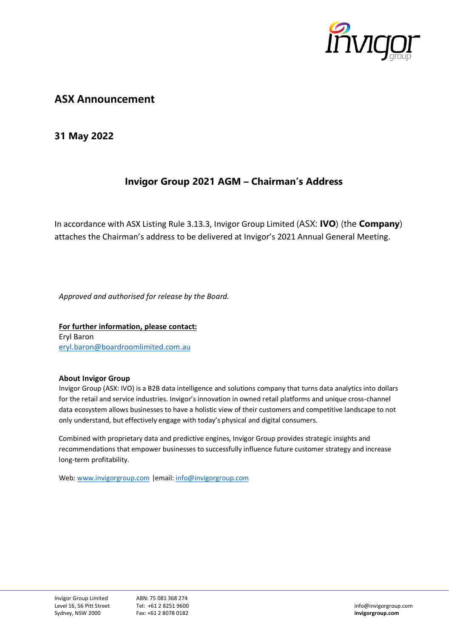

# **ASX Announcement**

### **31 May 2022**

## **Invigor Group 2021 AGM – Chairman's Address**

In accordance with ASX Listing Rule 3.13.3, Invigor Group Limited (ASX: **IVO**) (the **Company**) attaches the Chairman's address to be delivered at Invigor's 2021 Annual General Meeting.

*Approved and authorised for release by the Board.*

**For further information, please contact:** Eryl Baron [eryl.baron@boardroomlimited.com.au](mailto:eryl.baron@boardroomlimited.com.au)

#### **About Invigor Group**

Invigor Group (ASX: IVO) is a B2B data intelligence and solutions company that turns data analytics into dollars for the retail and service industries. Invigor's innovation in owned retail platforms and unique cross- channel data ecosystem allows businesses to have a holistic view of their customers and competitive landscape to not only understand, but effectively engage with today's physical and digital consumers.

Combined with proprietary data and predictive engines, Invigor Group provides strategic insights and recommendations that empower businesses to successfully influence future customer strategy and increase long-term profitability.

Web: [www.invigorgroup.com](http://www.invigorgroup.com/) |email: [info@invigorgroup.com](mailto:info@invigorgroup.com)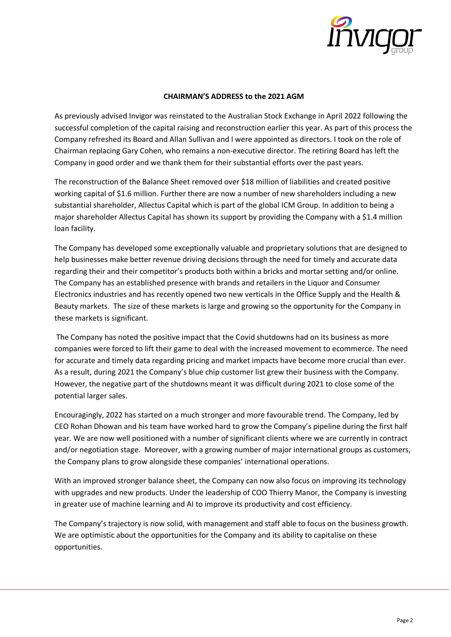

### **CHAIRMAN'S ADDRESS to the 2021 AGM**

As previously advised Invigor was reinstated to the Australian Stock Exchange in April 2022 following the successful completion of the capital raising and reconstruction earlier this year. As part of this process the Company refreshed its Board and Allan Sullivan and I were appointed as directors. I took on the role of Chairman replacing Gary Cohen, who remains a non-executive director. The retiring Board has left the Company in good order and we thank them for their substantial efforts over the past years.

The reconstruction of the Balance Sheet removed over \$18 million of liabilities and created positive working capital of \$1.6 million. Further there are now a number of new shareholders including a new substantial shareholder, Allectus Capital which is part of the global ICM Group. In addition to being a major shareholder Allectus Capital has shown its support by providing the Company with a \$1.4 million loan facility.

The Company has developed some exceptionally valuable and proprietary solutions that are designed to help businesses make better revenue driving decisions through the need for timely and accurate data regarding their and their competitor's products both within a bricks and mortar setting and/or online. The Company has an established presence with brands and retailers in the Liquor and Consumer Electronics industries and has recently opened two new verticals in the Office Supply and the Health & Beauty markets. The size of these markets is large and growing so the opportunity for the Company in these markets is significant.

The Company has noted the positive impact that the Covid shutdowns had on its business as more companies were forced to lift their game to deal with the increased movement to ecommerce. The need for accurate and timely data regarding pricing and market impacts have become more crucial than ever. As a result, during 2021 the Company's blue chip customer list grew their business with the Company. However, the negative part of the shutdowns meant it was difficult during 2021 to close some of the potential larger sales.

Encouragingly, 2022 has started on a much stronger and more favourable trend. The Company, led by CEO Rohan Dhowan and his team have worked hard to grow the Company's pipeline during the first half year. We are now well positioned with a number of significant clients where we are currently in contract and/or negotiation stage. Moreover, with a growing number of major international groups as customers, the Company plans to grow alongside these companies' international operations.

With an improved stronger balance sheet, the Company can now also focus on improving its technology with upgrades and new products. Under the leadership of COO Thierry Manor, the Company is investing in greater use of machine learning and AI to improve its productivity and cost efficiency.

The Company's trajectory is now solid, with management and staff able to focus on the business growth. We are optimistic about the opportunities for the Company and its ability to capitalise on these opportunities.